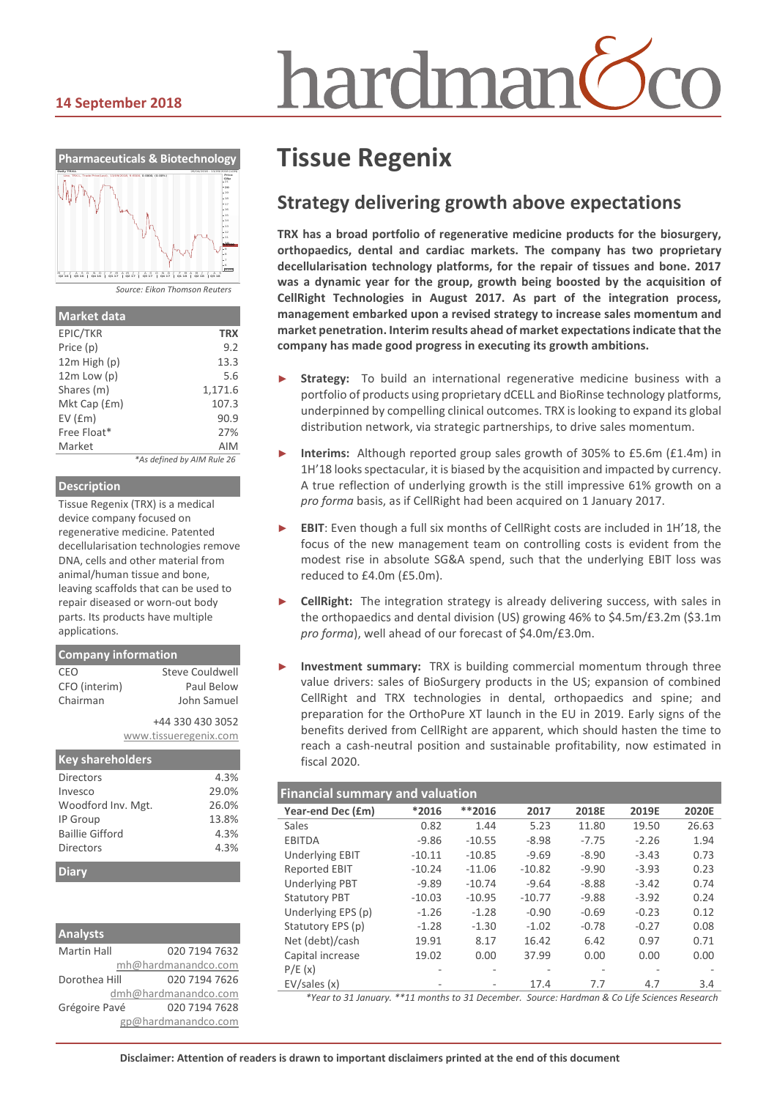# nardmar

#### **14 September 2018**



| <b>Market data</b> |                            |
|--------------------|----------------------------|
| EPIC/TKR           | <b>TRX</b>                 |
| Price (p)          | 9.2                        |
| 12m High (p)       | 13.3                       |
| $12m$ Low $(p)$    | 5.6                        |
| Shares (m)         | 1,171.6                    |
| Mkt Cap (£m)       | 107.3                      |
| EV(fm)             | 90.9                       |
| Free Float*        | 27%                        |
| Market             | <b>AIM</b>                 |
|                    | *As defined by AIM Rule 26 |

#### **Description**

Tissue Regenix (TRX) is a medical device company focused on regenerative medicine. Patented decellularisation technologies remove DNA, cells and other material from animal/human tissue and bone, leaving scaffolds that can be used to repair diseased or worn-out body parts. Its products have multiple applications.

| <b>Company information</b> |                       |
|----------------------------|-----------------------|
| CEO                        | Steve Couldwell       |
| CFO (interim)              | Paul Below            |
| Chairman                   | John Samuel           |
|                            | +44 330 430 3052      |
|                            | www.tissueregenix.com |
|                            |                       |

| <b>Key shareholders</b> |       |
|-------------------------|-------|
| Directors               | 4.3%  |
| Invesco                 | 29.0% |
| Woodford Inv. Mgt.      | 26.0% |
| IP Group                | 13.8% |
| <b>Baillie Gifford</b>  | 4.3%  |
| Directors               | 4.3%  |

| <b>Analysts</b>    |                      |
|--------------------|----------------------|
| <b>Martin Hall</b> | 020 7194 7632        |
|                    | mh@hardmanandco.com  |
| Dorothea Hill      | 020 7194 7626        |
|                    | dmh@hardmanandco.com |
| Grégoire Pavé      | 020 7194 7628        |
|                    | gp@hardmanandco.com  |

# **Tissue Regenix**

## **Strategy delivering growth above expectations**

**TRX has a broad portfolio of regenerative medicine products for the biosurgery, orthopaedics, dental and cardiac markets. The company has two proprietary decellularisation technology platforms, for the repair of tissues and bone. 2017 was a dynamic year for the group, growth being boosted by the acquisition of CellRight Technologies in August 2017. As part of the integration process, management embarked upon a revised strategy to increase sales momentum and market penetration. Interim results ahead of market expectations indicate that the company has made good progress in executing its growth ambitions.**

- **Strategy:** To build an international regenerative medicine business with a portfolio of products using proprietary dCELL and BioRinse technology platforms, underpinned by compelling clinical outcomes. TRX is looking to expand its global distribution network, via strategic partnerships, to drive sales momentum.
- Interims: Although reported group sales growth of 305% to £5.6m (£1.4m) in 1H'18 looks spectacular, it is biased by the acquisition and impacted by currency. A true reflection of underlying growth is the still impressive 61% growth on a *pro forma* basis, as if CellRight had been acquired on 1 January 2017.
- **EBIT:** Even though a full six months of CellRight costs are included in 1H'18, the focus of the new management team on controlling costs is evident from the modest rise in absolute SG&A spend, such that the underlying EBIT loss was reduced to £4.0m (£5.0m).
- CellRight: The integration strategy is already delivering success, with sales in the orthopaedics and dental division (US) growing 46% to \$4.5m/£3.2m (\$3.1m *pro forma*), well ahead of our forecast of \$4.0m/£3.0m.
- **Investment summary:** TRX is building commercial momentum through three value drivers: sales of BioSurgery products in the US; expansion of combined CellRight and TRX technologies in dental, orthopaedics and spine; and preparation for the OrthoPure XT launch in the EU in 2019. Early signs of the benefits derived from CellRight are apparent, which should hasten the time to reach a cash-neutral position and sustainable profitability, now estimated in fiscal 2020.

| <b>Financial summary and valuation</b> |          |          |          |         |         |       |  |
|----------------------------------------|----------|----------|----------|---------|---------|-------|--|
| Year-end Dec (£m)                      | *2016    | **2016   | 2017     | 2018E   | 2019E   | 2020E |  |
| Sales                                  | 0.82     | 1.44     | 5.23     | 11.80   | 19.50   | 26.63 |  |
| <b>EBITDA</b>                          | $-9.86$  | $-10.55$ | $-8.98$  | $-7.75$ | $-2.26$ | 1.94  |  |
| <b>Underlying EBIT</b>                 | $-10.11$ | $-10.85$ | $-9.69$  | $-8.90$ | $-3.43$ | 0.73  |  |
| <b>Reported EBIT</b>                   | $-10.24$ | $-11.06$ | $-10.82$ | $-9.90$ | $-3.93$ | 0.23  |  |
| <b>Underlying PBT</b>                  | $-9.89$  | $-10.74$ | $-9.64$  | $-8.88$ | $-3.42$ | 0.74  |  |
| <b>Statutory PBT</b>                   | $-10.03$ | $-10.95$ | $-10.77$ | $-9.88$ | $-3.92$ | 0.24  |  |
| Underlying EPS (p)                     | $-1.26$  | $-1.28$  | $-0.90$  | $-0.69$ | $-0.23$ | 0.12  |  |
| Statutory EPS (p)                      | $-1.28$  | $-1.30$  | $-1.02$  | $-0.78$ | $-0.27$ | 0.08  |  |
| Net (debt)/cash                        | 19.91    | 8.17     | 16.42    | 6.42    | 0.97    | 0.71  |  |
| Capital increase                       | 19.02    | 0.00     | 37.99    | 0.00    | 0.00    | 0.00  |  |
| P/E(x)                                 |          | ۰        | -        | ٠       |         |       |  |
| EV/sales(x)                            |          |          | 17.4     | 7.7     | 4.7     | 3.4   |  |

*\*Year to 31 January. \*\*11 months to 31 December. Source: Hardman & Co Life Sciences Research*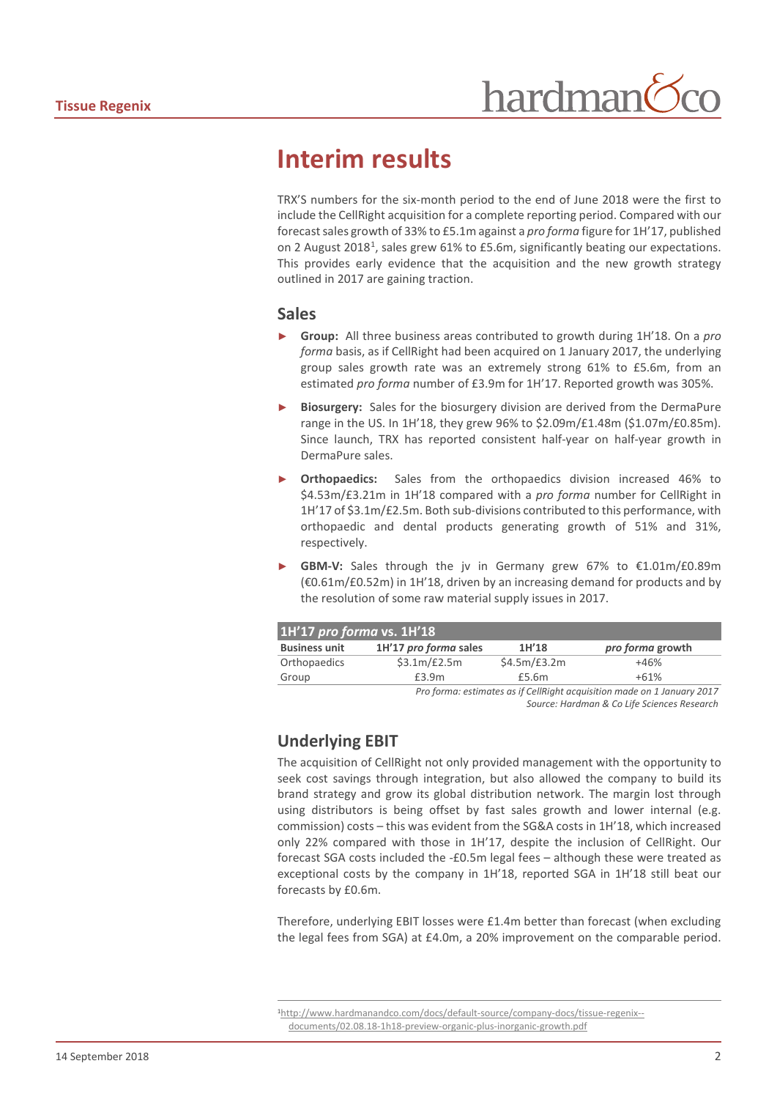## **Interim results**

TRX'S numbers for the six-month period to the end of June 2018 were the first to include the CellRight acquisition for a complete reporting period. Compared with our forecast sales growth of 33% to £5.1m against a *pro forma* figure for 1H'17, published on 2 August 20[1](#page-1-0)8<sup>1</sup>, sales grew 61% to £5.6m, significantly beating our expectations. This provides early evidence that the acquisition and the new growth strategy outlined in 2017 are gaining traction.

#### **Sales**

- ► **Group:** All three business areas contributed to growth during 1H'18. On a *pro forma* basis, as if CellRight had been acquired on 1 January 2017, the underlying group sales growth rate was an extremely strong 61% to £5.6m, from an estimated *pro forma* number of £3.9m for 1H'17. Reported growth was 305%.
- Biosurgery: Sales for the biosurgery division are derived from the DermaPure range in the US. In 1H'18, they grew 96% to \$2.09m/£1.48m (\$1.07m/£0.85m). Since launch, TRX has reported consistent half-year on half-year growth in DermaPure sales.
- ► **Orthopaedics:** Sales from the orthopaedics division increased 46% to \$4.53m/£3.21m in 1H'18 compared with a *pro forma* number for CellRight in 1H'17 of \$3.1m/£2.5m. Both sub-divisions contributed to this performance, with orthopaedic and dental products generating growth of 51% and 31%, respectively.
- GBM-V: Sales through the jv in Germany grew 67% to €1.01m/£0.89m (€0.61m/£0.52m) in 1H'18, driven by an increasing demand for products and by the resolution of some raw material supply issues in 2017.

| 1H'17 pro forma vs. 1H'18                                               |                       |              |                  |  |  |  |
|-------------------------------------------------------------------------|-----------------------|--------------|------------------|--|--|--|
| <b>Business unit</b>                                                    | 1H'17 pro forma sales | 1H'18        | pro forma growth |  |  |  |
| Orthopaedics                                                            | \$3.1m/E2.5m          | \$4.5m/£3.2m | $+46%$           |  |  |  |
| Group                                                                   | £3.9m                 | £5.6m        | $+61%$           |  |  |  |
| Dro forma: octimatos as if CollDiabt acquisition made on 1 Ianuary 2017 |                       |              |                  |  |  |  |

*Pro forma: estimates as if CellRight acquisition made on 1 January 2017 Source: Hardman & Co Life Sciences Research*

### **Underlying EBIT**

The acquisition of CellRight not only provided management with the opportunity to seek cost savings through integration, but also allowed the company to build its brand strategy and grow its global distribution network. The margin lost through using distributors is being offset by fast sales growth and lower internal (e.g. commission) costs – this was evident from the SG&A costs in 1H'18, which increased only 22% compared with those in 1H'17, despite the inclusion of CellRight. Our forecast SGA costs included the -£0.5m legal fees – although these were treated as exceptional costs by the company in 1H'18, reported SGA in 1H'18 still beat our forecasts by £0.6m.

Therefore, underlying EBIT losses were £1.4m better than forecast (when excluding the legal fees from SGA) at £4.0m, a 20% improvement on the comparable period.

<span id="page-1-0"></span> [<sup>1</sup>http://www.hardmanandco.com/docs/default-source/company-docs/tissue-regenix-](http://www.hardmanandco.com/docs/default-source/company-docs/tissue-regenix--documents/02.08.18-1h18-preview-organic-plus-inorganic-growth.pdf) [documents/02.08.18-1h18-preview-organic-plus-inorganic-growth.pdf](http://www.hardmanandco.com/docs/default-source/company-docs/tissue-regenix--documents/02.08.18-1h18-preview-organic-plus-inorganic-growth.pdf)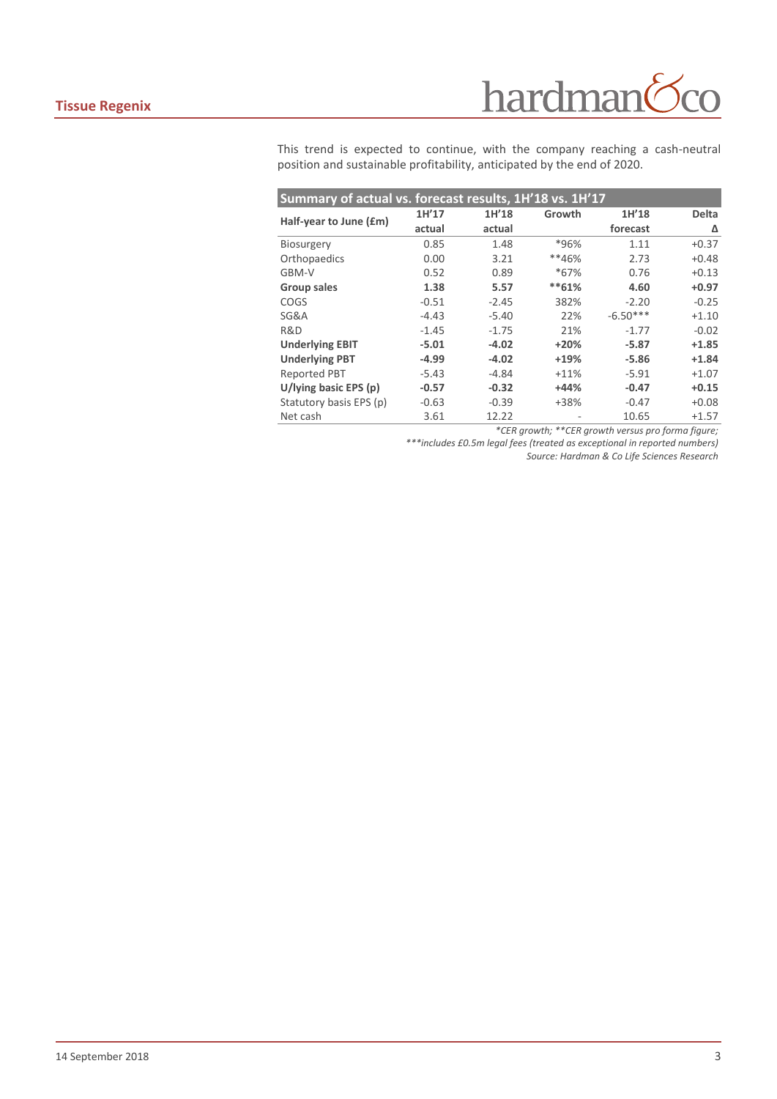## hardman  $\overline{O}$

This trend is expected to continue, with the company reaching a cash-neutral position and sustainable profitability, anticipated by the end of 2020.

| Summary of actual vs. forecast results, 1H'18 vs. 1H'17 |         |         |         |            |              |  |  |  |
|---------------------------------------------------------|---------|---------|---------|------------|--------------|--|--|--|
| Half-year to June (£m)                                  | 1H'17   | 1H'18   | Growth  | 1H'18      | <b>Delta</b> |  |  |  |
|                                                         | actual  | actual  |         | forecast   | Δ            |  |  |  |
| <b>Biosurgery</b>                                       | 0.85    | 1.48    | *96%    | 1.11       | $+0.37$      |  |  |  |
| Orthopaedics                                            | 0.00    | 3.21    | **46%   | 2.73       | $+0.48$      |  |  |  |
| GBM-V                                                   | 0.52    | 0.89    | $*67%$  | 0.76       | $+0.13$      |  |  |  |
| Group sales                                             | 1.38    | 5.57    | $**61%$ | 4.60       | $+0.97$      |  |  |  |
| COGS                                                    | $-0.51$ | $-2.45$ | 382%    | $-2.20$    | $-0.25$      |  |  |  |
| SG&A                                                    | $-4.43$ | $-5.40$ | 22%     | $-6.50***$ | $+1.10$      |  |  |  |
| R&D                                                     | $-1.45$ | $-1.75$ | 21%     | $-1.77$    | $-0.02$      |  |  |  |
| <b>Underlying EBIT</b>                                  | $-5.01$ | $-4.02$ | $+20%$  | $-5.87$    | $+1.85$      |  |  |  |
| <b>Underlying PBT</b>                                   | $-4.99$ | $-4.02$ | $+19%$  | $-5.86$    | $+1.84$      |  |  |  |
| <b>Reported PBT</b>                                     | $-5.43$ | -4.84   | $+11%$  | $-5.91$    | $+1.07$      |  |  |  |
| U/lying basic EPS $(p)$                                 | $-0.57$ | $-0.32$ | $+44%$  | $-0.47$    | $+0.15$      |  |  |  |
| Statutory basis EPS (p)                                 | $-0.63$ | $-0.39$ | +38%    | $-0.47$    | $+0.08$      |  |  |  |
| Net cash                                                | 3.61    | 12.22   |         | 10.65      | $+1.57$      |  |  |  |

*\*CER growth; \*\*CER growth versus pro forma figure;* 

*\*\*\*includes £0.5m legal fees (treated as exceptional in reported numbers)*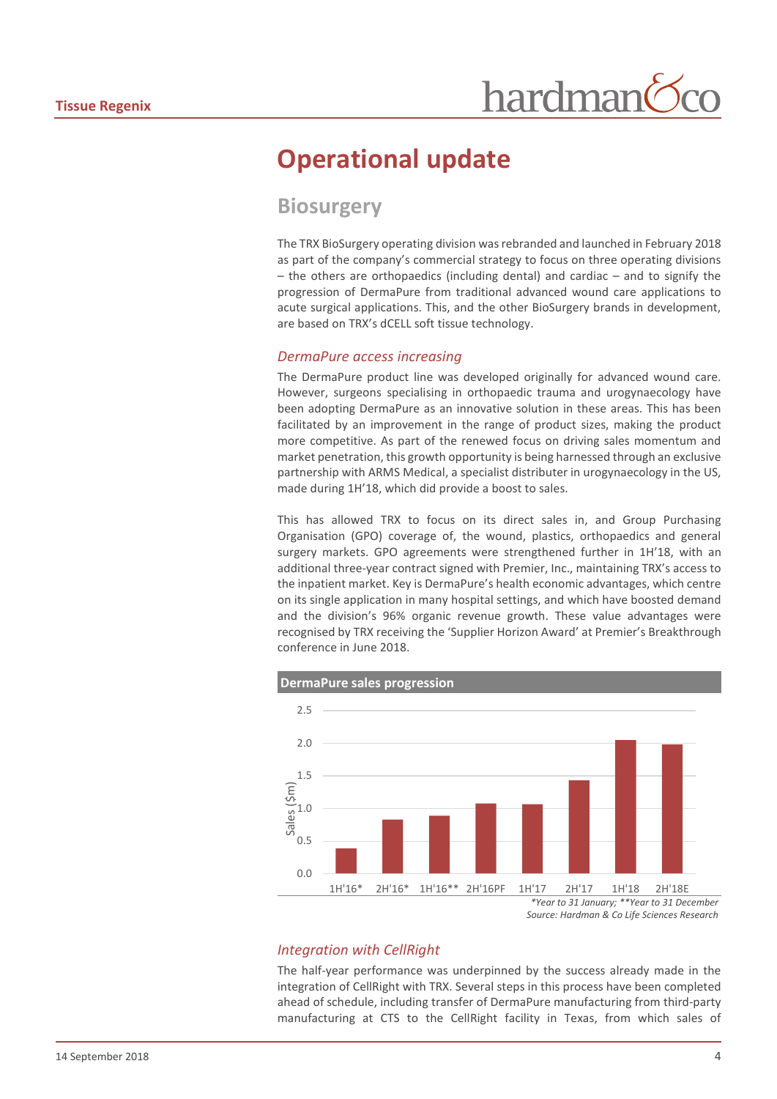# **Operational update**

## **Biosurgery**

The TRX BioSurgery operating division wasrebranded and launched in February 2018 as part of the company's commercial strategy to focus on three operating divisions – the others are orthopaedics (including dental) and cardiac – and to signify the progression of DermaPure from traditional advanced wound care applications to acute surgical applications. This, and the other BioSurgery brands in development, are based on TRX's dCELL soft tissue technology.

#### *DermaPure access increasing*

The DermaPure product line was developed originally for advanced wound care. However, surgeons specialising in orthopaedic trauma and urogynaecology have been adopting DermaPure as an innovative solution in these areas. This has been facilitated by an improvement in the range of product sizes, making the product more competitive. As part of the renewed focus on driving sales momentum and market penetration, this growth opportunity is being harnessed through an exclusive partnership with ARMS Medical, a specialist distributer in urogynaecology in the US, made during 1H'18, which did provide a boost to sales.

This has allowed TRX to focus on its direct sales in, and Group Purchasing Organisation (GPO) coverage of, the wound, plastics, orthopaedics and general surgery markets. GPO agreements were strengthened further in 1H'18, with an additional three-year contract signed with Premier, Inc., maintaining TRX's access to the inpatient market. Key is DermaPure's health economic advantages, which centre on its single application in many hospital settings, and which have boosted demand and the division's 96% organic revenue growth. These value advantages were recognised by TRX receiving the 'Supplier Horizon Award' at Premier's Breakthrough conference in June 2018.



#### *Integration with CellRight*

The half-year performance was underpinned by the success already made in the integration of CellRight with TRX. Several steps in this process have been completed ahead of schedule, including transfer of DermaPure manufacturing from third-party manufacturing at CTS to the CellRight facility in Texas, from which sales of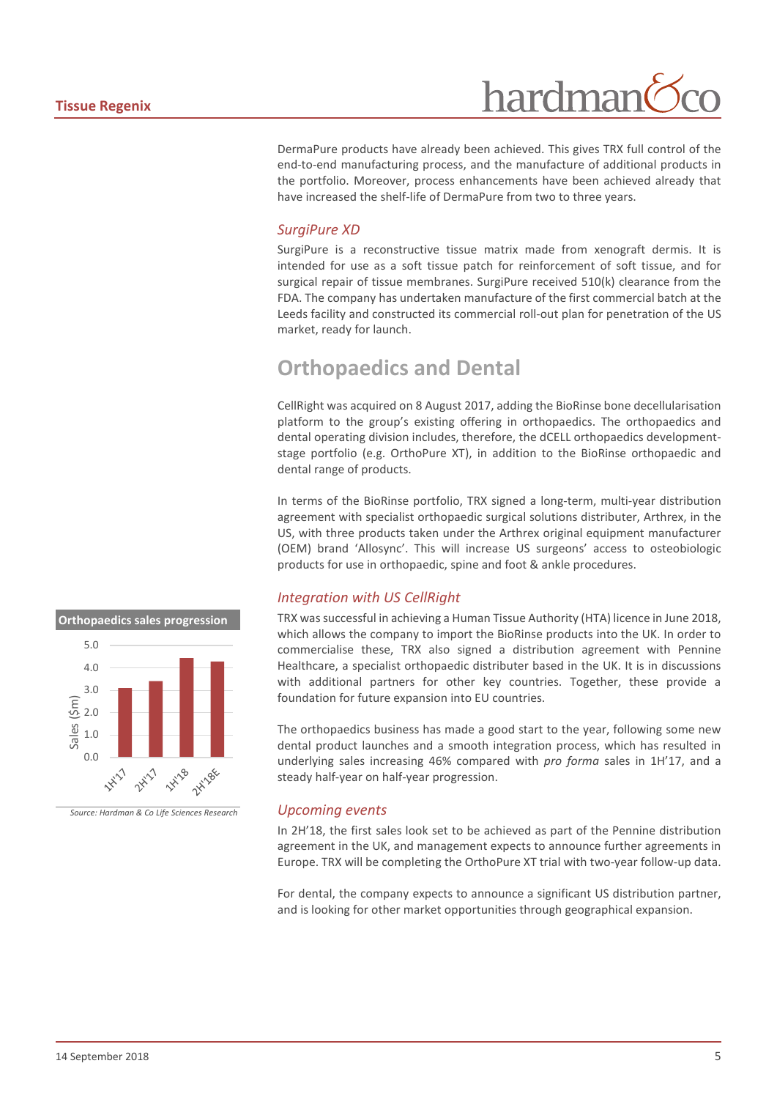DermaPure products have already been achieved. This gives TRX full control of the end-to-end manufacturing process, and the manufacture of additional products in the portfolio. Moreover, process enhancements have been achieved already that have increased the shelf-life of DermaPure from two to three years.

#### *SurgiPure XD*

SurgiPure is a reconstructive tissue matrix made from xenograft dermis. It is intended for use as a soft tissue patch for reinforcement of soft tissue, and for surgical repair of tissue membranes. SurgiPure received 510(k) clearance from the FDA. The company has undertaken manufacture of the first commercial batch at the Leeds facility and constructed its commercial roll-out plan for penetration of the US market, ready for launch.

## **Orthopaedics and Dental**

CellRight was acquired on 8 August 2017, adding the BioRinse bone decellularisation platform to the group's existing offering in orthopaedics. The orthopaedics and dental operating division includes, therefore, the dCELL orthopaedics developmentstage portfolio (e.g. OrthoPure XT), in addition to the BioRinse orthopaedic and dental range of products.

In terms of the BioRinse portfolio, TRX signed a long-term, multi-year distribution agreement with specialist orthopaedic surgical solutions distributer, Arthrex, in the US, with three products taken under the Arthrex original equipment manufacturer (OEM) brand 'Allosync'. This will increase US surgeons' access to osteobiologic products for use in orthopaedic, spine and foot & ankle procedures.

#### *Integration with US CellRight*

TRX was successful in achieving a Human Tissue Authority (HTA) licence in June 2018, which allows the company to import the BioRinse products into the UK. In order to commercialise these, TRX also signed a distribution agreement with Pennine Healthcare, a specialist orthopaedic distributer based in the UK. It is in discussions with additional partners for other key countries. Together, these provide a foundation for future expansion into EU countries.

The orthopaedics business has made a good start to the year, following some new dental product launches and a smooth integration process, which has resulted in underlying sales increasing 46% compared with *pro forma* sales in 1H'17, and a steady half-year on half-year progression.

#### *Upcoming events*

In 2H'18, the first sales look set to be achieved as part of the Pennine distribution agreement in the UK, and management expects to announce further agreements in Europe. TRX will be completing the OrthoPure XT trial with two-year follow-up data.

For dental, the company expects to announce a significant US distribution partner, and is looking for other market opportunities through geographical expansion.

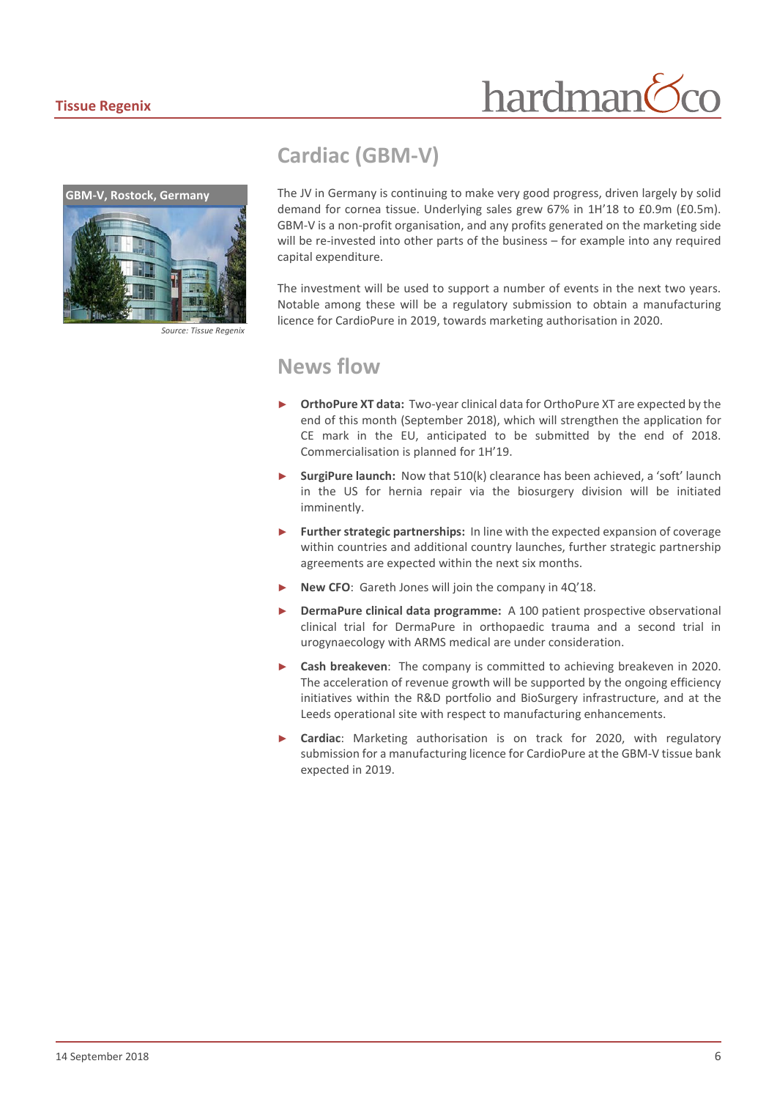

**GBM-V, Rostock, Germany**

*Source: Tissue Regenix*

## **Cardiac (GBM-V)**

The JV in Germany is continuing to make very good progress, driven largely by solid demand for cornea tissue. Underlying sales grew 67% in 1H'18 to £0.9m (£0.5m). GBM-V is a non-profit organisation, and any profits generated on the marketing side will be re-invested into other parts of the business – for example into any required capital expenditure.

The investment will be used to support a number of events in the next two years. Notable among these will be a regulatory submission to obtain a manufacturing licence for CardioPure in 2019, towards marketing authorisation in 2020.

### **News flow**

- **OrthoPure XT data:** Two-year clinical data for OrthoPure XT are expected by the end of this month (September 2018), which will strengthen the application for CE mark in the EU, anticipated to be submitted by the end of 2018. Commercialisation is planned for 1H'19.
- SurgiPure launch: Now that 510(k) clearance has been achieved, a 'soft' launch in the US for hernia repair via the biosurgery division will be initiated imminently.
- ► **Further strategic partnerships:** In line with the expected expansion of coverage within countries and additional country launches, further strategic partnership agreements are expected within the next six months.
- **New CFO:** Gareth Jones will join the company in 4Q'18.
- **DermaPure clinical data programme:** A 100 patient prospective observational clinical trial for DermaPure in orthopaedic trauma and a second trial in urogynaecology with ARMS medical are under consideration.
- **Cash breakeven:** The company is committed to achieving breakeven in 2020. The acceleration of revenue growth will be supported by the ongoing efficiency initiatives within the R&D portfolio and BioSurgery infrastructure, and at the Leeds operational site with respect to manufacturing enhancements.
- Cardiac: Marketing authorisation is on track for 2020, with regulatory submission for a manufacturing licence for CardioPure at the GBM-V tissue bank expected in 2019.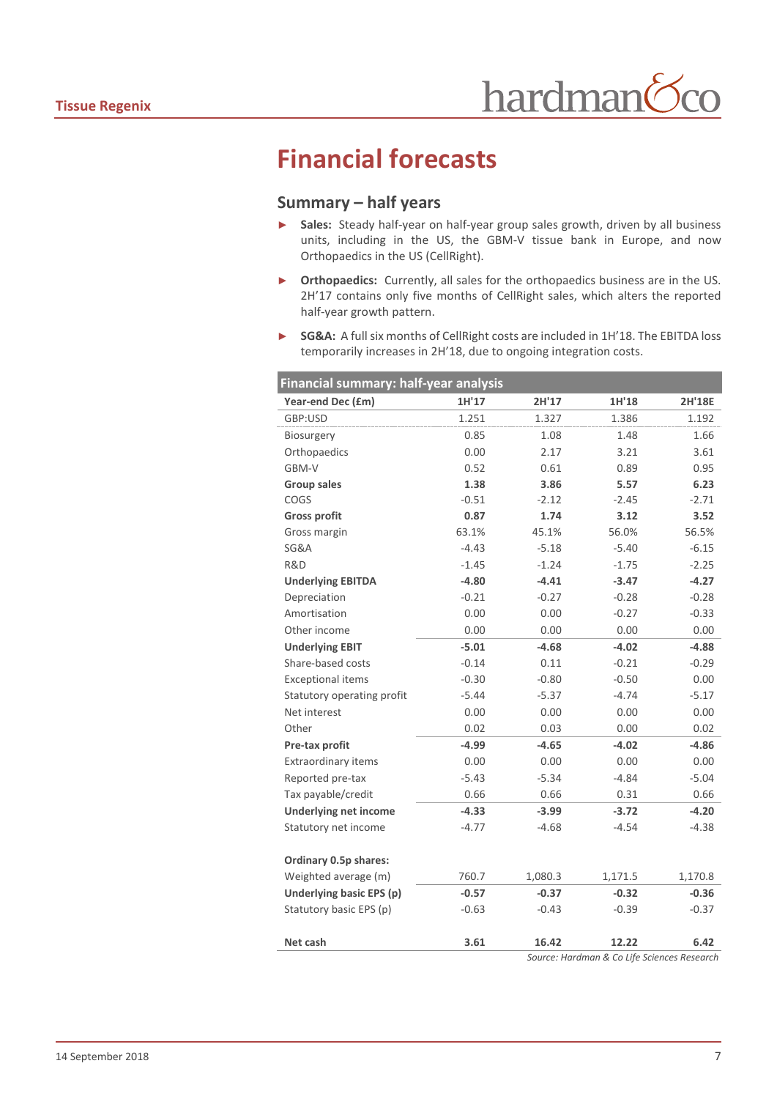# **Financial forecasts**

#### **Summary – half years**

- ► **Sales:** Steady half-year on half-year group sales growth, driven by all business units, including in the US, the GBM-V tissue bank in Europe, and now Orthopaedics in the US (CellRight).
- ► **Orthopaedics:** Currently, all sales for the orthopaedics business are in the US. 2H'17 contains only five months of CellRight sales, which alters the reported half-year growth pattern.
- ► **SG&A:** A full six months of CellRight costs are included in 1H'18. The EBITDA loss temporarily increases in 2H'18, due to ongoing integration costs.

| Year-end Dec (£m)<br>1H'17<br>2H'17<br>1H'18<br>1.251<br>1.386<br>GBP:USD<br>1.327<br>1.48<br>0.85<br>1.08<br>Biosurgery<br>Orthopaedics<br>0.00<br>2.17<br>3.21 | <b>2H'18E</b><br>1.192<br>1.66<br>3.61 |
|------------------------------------------------------------------------------------------------------------------------------------------------------------------|----------------------------------------|
|                                                                                                                                                                  |                                        |
|                                                                                                                                                                  |                                        |
|                                                                                                                                                                  |                                        |
|                                                                                                                                                                  |                                        |
| GBM-V<br>0.52<br>0.61<br>0.89                                                                                                                                    | 0.95                                   |
| <b>Group sales</b><br>1.38<br>3.86<br>5.57                                                                                                                       | 6.23                                   |
| COGS<br>$-0.51$<br>$-2.12$<br>$-2.45$                                                                                                                            | $-2.71$                                |
| 0.87<br><b>Gross profit</b><br>1.74<br>3.12                                                                                                                      | 3.52                                   |
| 56.0%<br>Gross margin<br>63.1%<br>45.1%                                                                                                                          | 56.5%                                  |
| SG&A<br>$-4.43$<br>$-5.18$<br>$-5.40$                                                                                                                            | $-6.15$                                |
| R&D<br>$-1.24$<br>$-1.45$<br>$-1.75$                                                                                                                             | $-2.25$                                |
| <b>Underlying EBITDA</b><br>$-4.80$<br>$-4.41$<br>$-3.47$                                                                                                        | $-4.27$                                |
| Depreciation<br>$-0.21$<br>$-0.27$<br>$-0.28$                                                                                                                    | $-0.28$                                |
| Amortisation<br>0.00<br>0.00<br>$-0.27$                                                                                                                          | $-0.33$                                |
| Other income<br>0.00<br>0.00<br>0.00                                                                                                                             | 0.00                                   |
| <b>Underlying EBIT</b><br>$-5.01$<br>$-4.02$<br>$-4.68$                                                                                                          | $-4.88$                                |
| Share-based costs<br>$-0.14$<br>0.11<br>$-0.21$                                                                                                                  | $-0.29$                                |
| <b>Exceptional items</b><br>$-0.30$<br>$-0.80$<br>$-0.50$                                                                                                        | 0.00                                   |
| Statutory operating profit<br>$-5.44$<br>$-5.37$<br>$-4.74$                                                                                                      | $-5.17$                                |
| Net interest<br>0.00<br>0.00<br>0.00                                                                                                                             | 0.00                                   |
| Other<br>0.02<br>0.03<br>0.00                                                                                                                                    | 0.02                                   |
| $-4.99$<br>$-4.65$<br>Pre-tax profit<br>$-4.02$                                                                                                                  | $-4.86$                                |
| Extraordinary items<br>0.00<br>0.00<br>0.00                                                                                                                      | 0.00                                   |
| Reported pre-tax<br>$-5.43$<br>$-5.34$<br>$-4.84$                                                                                                                | $-5.04$                                |
| 0.66<br>0.66<br>Tax payable/credit<br>0.31                                                                                                                       | 0.66                                   |
| <b>Underlying net income</b><br>$-4.33$<br>$-3.99$<br>$-3.72$                                                                                                    | $-4.20$                                |
| Statutory net income<br>$-4.77$<br>$-4.68$<br>$-4.54$                                                                                                            | $-4.38$                                |
|                                                                                                                                                                  |                                        |
| Ordinary 0.5p shares:                                                                                                                                            |                                        |
| Weighted average (m)<br>760.7<br>1,080.3<br>1,171.5                                                                                                              | 1,170.8                                |
| $-0.37$<br>Underlying basic EPS (p)<br>$-0.57$<br>$-0.32$                                                                                                        | $-0.36$                                |
| Statutory basic EPS (p)<br>$-0.39$<br>$-0.63$<br>$-0.43$                                                                                                         | $-0.37$                                |
|                                                                                                                                                                  |                                        |
| 3.61<br>16.42<br>12.22<br>Net cash<br>Source: Hardman & Co Life Sciences Research                                                                                | 6.42                                   |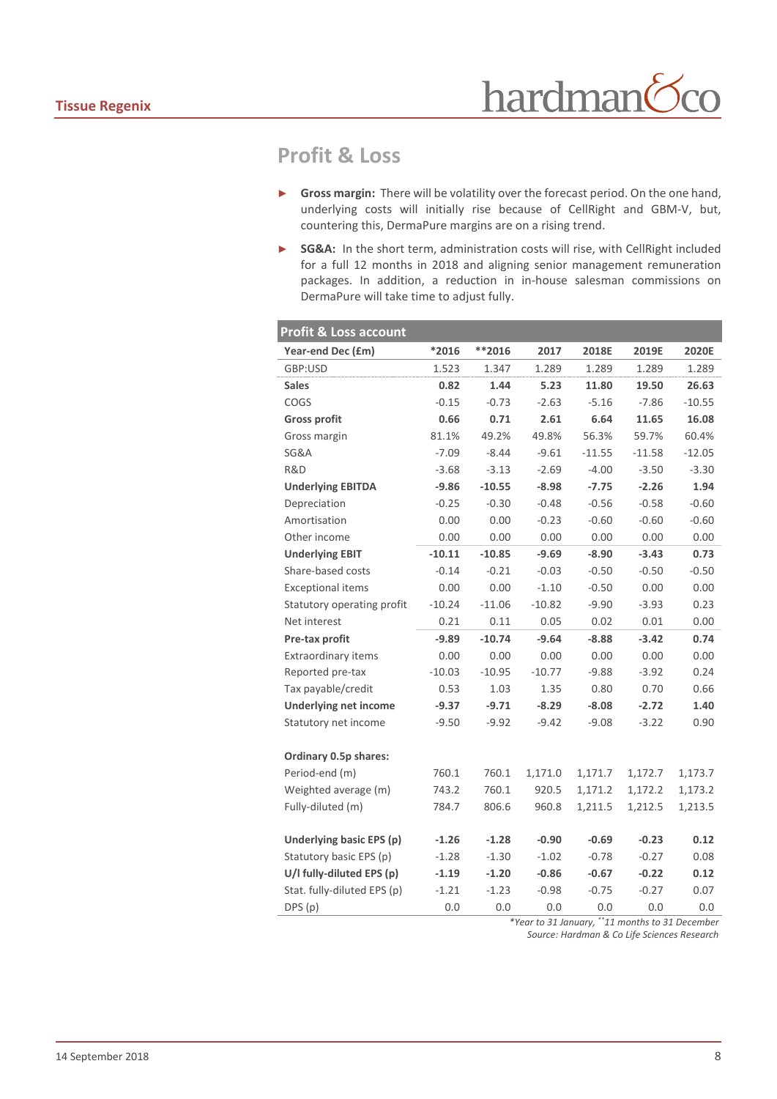## **Profit & Loss**

- ► **Gross margin:** There will be volatility over the forecast period. On the one hand, underlying costs will initially rise because of CellRight and GBM-V, but, countering this, DermaPure margins are on a rising trend.
- ► **SG&A:** In the short term, administration costs will rise, with CellRight included for a full 12 months in 2018 and aligning senior management remuneration packages. In addition, a reduction in in-house salesman commissions on DermaPure will take time to adjust fully.

| Profit & Loss account        |          |          |          |          |          |          |
|------------------------------|----------|----------|----------|----------|----------|----------|
| Year-end Dec (£m)            | *2016    | $**2016$ | 2017     | 2018E    | 2019E    | 2020E    |
| GBP:USD                      | 1.523    | 1.347    | 1.289    | 1.289    | 1.289    | 1.289    |
| <b>Sales</b>                 | 0.82     | 1.44     | 5.23     | 11.80    | 19.50    | 26.63    |
| COGS                         | $-0.15$  | $-0.73$  | $-2.63$  | $-5.16$  | $-7.86$  | $-10.55$ |
| <b>Gross profit</b>          | 0.66     | 0.71     | 2.61     | 6.64     | 11.65    | 16.08    |
| Gross margin                 | 81.1%    | 49.2%    | 49.8%    | 56.3%    | 59.7%    | 60.4%    |
| <b>SG&amp;A</b>              | $-7.09$  | $-8.44$  | $-9.61$  | $-11.55$ | $-11.58$ | $-12.05$ |
| R&D                          | $-3.68$  | $-3.13$  | $-2.69$  | $-4.00$  | $-3.50$  | $-3.30$  |
| <b>Underlying EBITDA</b>     | $-9.86$  | $-10.55$ | $-8.98$  | $-7.75$  | $-2.26$  | 1.94     |
| Depreciation                 | $-0.25$  | $-0.30$  | $-0.48$  | $-0.56$  | $-0.58$  | $-0.60$  |
| Amortisation                 | 0.00     | 0.00     | $-0.23$  | $-0.60$  | $-0.60$  | $-0.60$  |
| Other income                 | 0.00     | 0.00     | 0.00     | 0.00     | 0.00     | 0.00     |
| <b>Underlying EBIT</b>       | $-10.11$ | $-10.85$ | $-9.69$  | $-8.90$  | $-3.43$  | 0.73     |
| Share-based costs            | $-0.14$  | $-0.21$  | $-0.03$  | $-0.50$  | $-0.50$  | $-0.50$  |
| <b>Exceptional items</b>     | 0.00     | 0.00     | $-1.10$  | $-0.50$  | 0.00     | 0.00     |
| Statutory operating profit   | $-10.24$ | $-11.06$ | $-10.82$ | $-9.90$  | $-3.93$  | 0.23     |
| Net interest                 | 0.21     | 0.11     | 0.05     | 0.02     | 0.01     | 0.00     |
| Pre-tax profit               | $-9.89$  | $-10.74$ | $-9.64$  | $-8.88$  | $-3.42$  | 0.74     |
| <b>Extraordinary items</b>   | 0.00     | 0.00     | 0.00     | 0.00     | 0.00     | 0.00     |
| Reported pre-tax             | $-10.03$ | $-10.95$ | $-10.77$ | $-9.88$  | $-3.92$  | 0.24     |
| Tax payable/credit           | 0.53     | 1.03     | 1.35     | 0.80     | 0.70     | 0.66     |
| <b>Underlying net income</b> | $-9.37$  | $-9.71$  | $-8.29$  | $-8.08$  | $-2.72$  | 1.40     |
| Statutory net income         | $-9.50$  | $-9.92$  | $-9.42$  | $-9.08$  | $-3.22$  | 0.90     |
|                              |          |          |          |          |          |          |
| <b>Ordinary 0.5p shares:</b> |          |          |          |          |          |          |
| Period-end (m)               | 760.1    | 760.1    | 1,171.0  | 1,171.7  | 1,172.7  | 1,173.7  |
| Weighted average (m)         | 743.2    | 760.1    | 920.5    | 1,171.2  | 1,172.2  | 1,173.2  |
| Fully-diluted (m)            | 784.7    | 806.6    | 960.8    | 1,211.5  | 1,212.5  | 1,213.5  |
|                              |          |          |          |          |          |          |
| Underlying basic EPS (p)     | $-1.26$  | $-1.28$  | $-0.90$  | $-0.69$  | $-0.23$  | 0.12     |
| Statutory basic EPS (p)      | $-1.28$  | $-1.30$  | $-1.02$  | $-0.78$  | $-0.27$  | 0.08     |
| U/I fully-diluted EPS (p)    | $-1.19$  | $-1.20$  | $-0.86$  | $-0.67$  | $-0.22$  | 0.12     |
| Stat. fully-diluted EPS (p)  | $-1.21$  | $-1.23$  | $-0.98$  | $-0.75$  | $-0.27$  | 0.07     |
| DPS (p)                      | 0.0      | 0.0      | 0.0      | 0.0      | 0.0      | 0.0      |

*\*Year to 31 January, \*\*11 months to 31 December*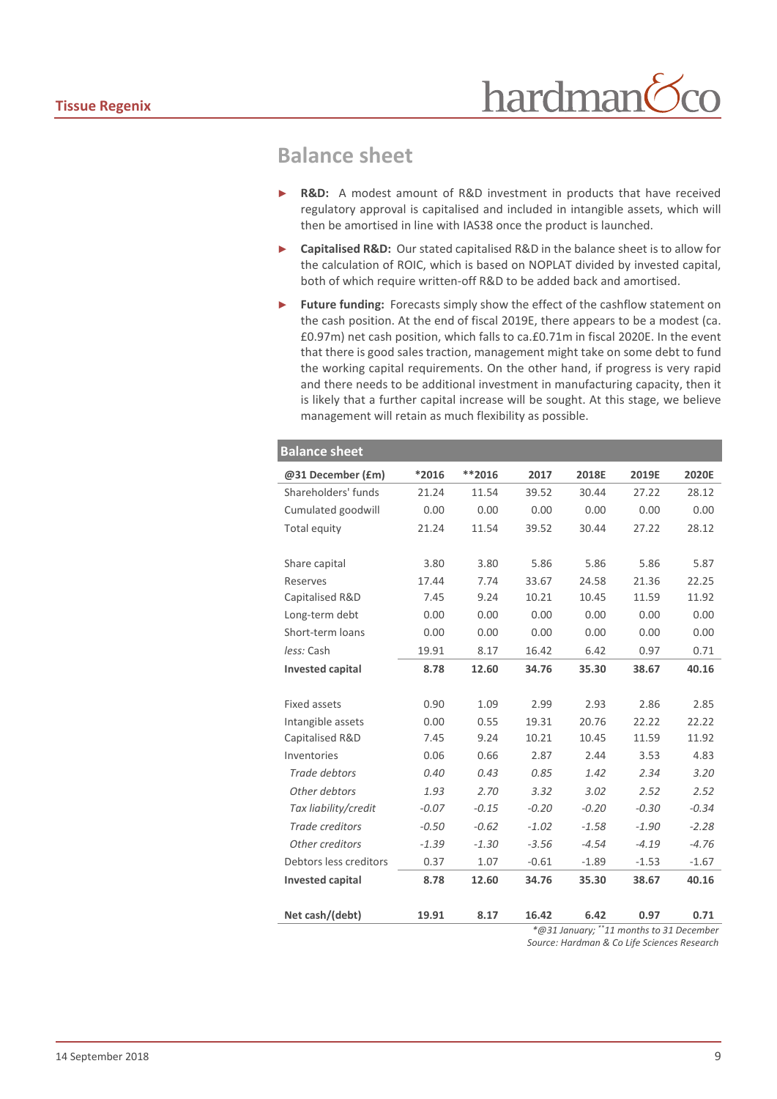## **Balance sheet**

- **R&D:** A modest amount of R&D investment in products that have received regulatory approval is capitalised and included in intangible assets, which will then be amortised in line with IAS38 once the product is launched.
- ► **Capitalised R&D:** Our stated capitalised R&D in the balance sheet is to allow for the calculation of ROIC, which is based on NOPLAT divided by invested capital, both of which require written-off R&D to be added back and amortised.
- Future funding: Forecasts simply show the effect of the cashflow statement on the cash position. At the end of fiscal 2019E, there appears to be a modest (ca. £0.97m) net cash position, which falls to ca.£0.71m in fiscal 2020E. In the event that there is good sales traction, management might take on some debt to fund the working capital requirements. On the other hand, if progress is very rapid and there needs to be additional investment in manufacturing capacity, then it is likely that a further capital increase will be sought. At this stage, we believe management will retain as much flexibility as possible.

| <b>Balance sheet</b>                     |         |          |         |         |         |         |  |
|------------------------------------------|---------|----------|---------|---------|---------|---------|--|
| @31 December (£m)                        | *2016   | $**2016$ | 2017    | 2018E   | 2019E   | 2020E   |  |
| Shareholders' funds                      | 21.24   | 11.54    | 39.52   | 30.44   | 27.22   | 28.12   |  |
| Cumulated goodwill                       | 0.00    | 0.00     | 0.00    | 0.00    | 0.00    | 0.00    |  |
| Total equity                             | 21.24   | 11.54    | 39.52   | 30.44   | 27.22   | 28.12   |  |
|                                          |         |          |         |         |         |         |  |
| Share capital                            | 3.80    | 3.80     | 5.86    | 5.86    | 5.86    | 5.87    |  |
| Reserves                                 | 17.44   | 7.74     | 33.67   | 24.58   | 21.36   | 22.25   |  |
| Capitalised R&D                          | 7.45    | 9.24     | 10.21   | 10.45   | 11.59   | 11.92   |  |
| Long-term debt                           | 0.00    | 0.00     | 0.00    | 0.00    | 0.00    | 0.00    |  |
| Short-term loans                         | 0.00    | 0.00     | 0.00    | 0.00    | 0.00    | 0.00    |  |
| less: Cash                               | 19.91   | 8.17     | 16.42   | 6.42    | 0.97    | 0.71    |  |
| <b>Invested capital</b>                  | 8.78    | 12.60    | 34.76   | 35.30   | 38.67   | 40.16   |  |
|                                          |         |          |         |         |         |         |  |
| Fixed assets                             | 0.90    | 1.09     | 2.99    | 2.93    | 2.86    | 2.85    |  |
| Intangible assets                        | 0.00    | 0.55     | 19.31   | 20.76   | 22.22   | 22.22   |  |
| Capitalised R&D                          | 7.45    | 9.24     | 10.21   | 10.45   | 11.59   | 11.92   |  |
| Inventories                              | 0.06    | 0.66     | 2.87    | 2.44    | 3.53    | 4.83    |  |
| Trade debtors                            | 0.40    | 0.43     | 0.85    | 1.42    | 2.34    | 3.20    |  |
| Other debtors                            | 1.93    | 2.70     | 3.32    | 3.02    | 2.52    | 2.52    |  |
| Tax liability/credit                     | $-0.07$ | $-0.15$  | $-0.20$ | $-0.20$ | $-0.30$ | $-0.34$ |  |
| <b>Trade creditors</b>                   | $-0.50$ | $-0.62$  | $-1.02$ | $-1.58$ | $-1.90$ | $-2.28$ |  |
| Other creditors                          | $-1.39$ | $-1.30$  | $-3.56$ | $-4.54$ | $-4.19$ | $-4.76$ |  |
| Debtors less creditors                   | 0.37    | 1.07     | $-0.61$ | $-1.89$ | $-1.53$ | $-1.67$ |  |
| <b>Invested capital</b>                  | 8.78    | 12.60    | 34.76   | 35.30   | 38.67   | 40.16   |  |
|                                          |         |          |         |         |         |         |  |
| Net cash/(debt)                          | 19.91   | 8.17     | 16.42   | 6.42    | 0.97    | 0.71    |  |
| *@31 January; **11 months to 31 December |         |          |         |         |         |         |  |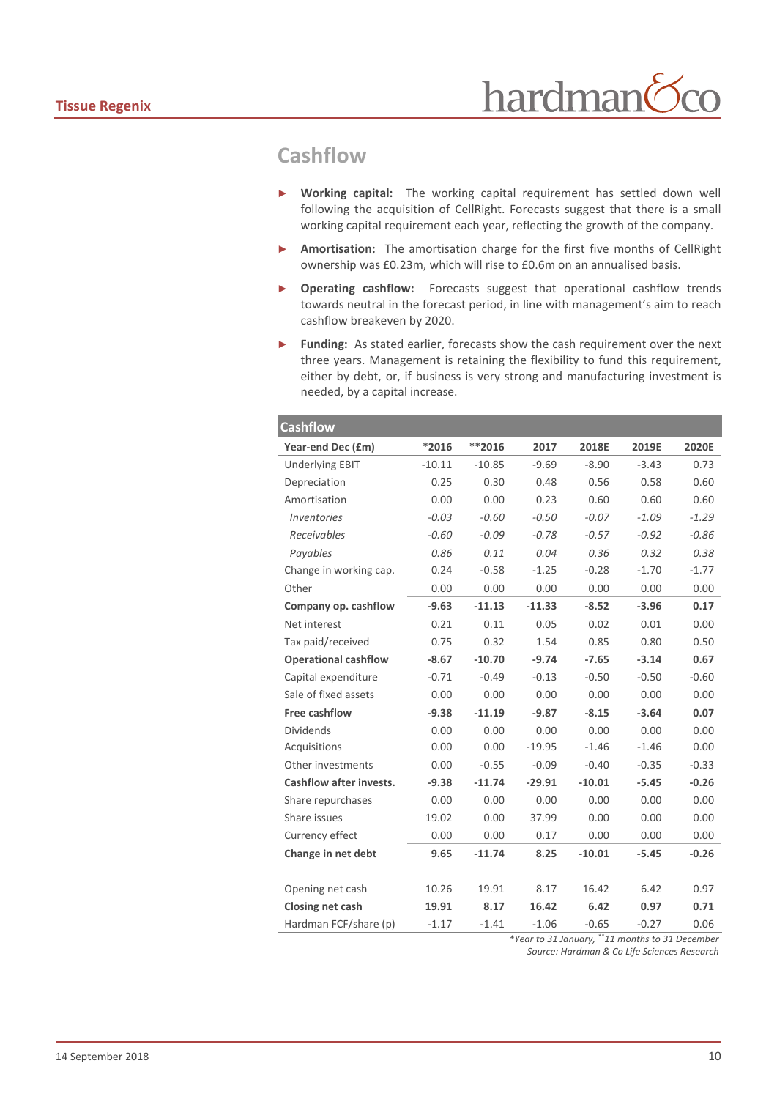## **Cashflow**

- Working capital: The working capital requirement has settled down well following the acquisition of CellRight. Forecasts suggest that there is a small working capital requirement each year, reflecting the growth of the company.
- Amortisation: The amortisation charge for the first five months of CellRight ownership was £0.23m, which will rise to £0.6m on an annualised basis.
- ► **Operating cashflow:** Forecasts suggest that operational cashflow trends towards neutral in the forecast period, in line with management's aim to reach cashflow breakeven by 2020.
- ► **Funding:** As stated earlier, forecasts show the cash requirement over the next three years. Management is retaining the flexibility to fund this requirement, either by debt, or, if business is very strong and manufacturing investment is needed, by a capital increase.

| <b>Cashflow</b>                |          |          |          |          |         |         |
|--------------------------------|----------|----------|----------|----------|---------|---------|
| Year-end Dec (£m)              | *2016    | **2016   | 2017     | 2018E    | 2019E   | 2020E   |
| <b>Underlying EBIT</b>         | $-10.11$ | $-10.85$ | $-9.69$  | $-8.90$  | $-3.43$ | 0.73    |
| Depreciation                   | 0.25     | 0.30     | 0.48     | 0.56     | 0.58    | 0.60    |
| Amortisation                   | 0.00     | 0.00     | 0.23     | 0.60     | 0.60    | 0.60    |
| <i>Inventories</i>             | $-0.03$  | $-0.60$  | $-0.50$  | $-0.07$  | $-1.09$ | $-1.29$ |
| Receivables                    | $-0.60$  | $-0.09$  | $-0.78$  | $-0.57$  | $-0.92$ | $-0.86$ |
| Payables                       | 0.86     | 0.11     | 0.04     | 0.36     | 0.32    | 0.38    |
| Change in working cap.         | 0.24     | $-0.58$  | $-1.25$  | $-0.28$  | $-1.70$ | $-1.77$ |
| Other                          | 0.00     | 0.00     | 0.00     | 0.00     | 0.00    | 0.00    |
| Company op. cashflow           | $-9.63$  | $-11.13$ | $-11.33$ | $-8.52$  | $-3.96$ | 0.17    |
| Net interest                   | 0.21     | 0.11     | 0.05     | 0.02     | 0.01    | 0.00    |
| Tax paid/received              | 0.75     | 0.32     | 1.54     | 0.85     | 0.80    | 0.50    |
| <b>Operational cashflow</b>    | $-8.67$  | $-10.70$ | $-9.74$  | $-7.65$  | $-3.14$ | 0.67    |
| Capital expenditure            | $-0.71$  | $-0.49$  | $-0.13$  | $-0.50$  | $-0.50$ | $-0.60$ |
| Sale of fixed assets           | 0.00     | 0.00     | 0.00     | 0.00     | 0.00    | 0.00    |
| <b>Free cashflow</b>           | $-9.38$  | $-11.19$ | $-9.87$  | $-8.15$  | $-3.64$ | 0.07    |
| <b>Dividends</b>               | 0.00     | 0.00     | 0.00     | 0.00     | 0.00    | 0.00    |
| Acquisitions                   | 0.00     | 0.00     | $-19.95$ | $-1.46$  | $-1.46$ | 0.00    |
| Other investments              | 0.00     | $-0.55$  | $-0.09$  | $-0.40$  | $-0.35$ | $-0.33$ |
| <b>Cashflow after invests.</b> | $-9.38$  | $-11.74$ | $-29.91$ | $-10.01$ | $-5.45$ | $-0.26$ |
| Share repurchases              | 0.00     | 0.00     | 0.00     | 0.00     | 0.00    | 0.00    |
| Share issues                   | 19.02    | 0.00     | 37.99    | 0.00     | 0.00    | 0.00    |
| Currency effect                | 0.00     | 0.00     | 0.17     | 0.00     | 0.00    | 0.00    |
| Change in net debt             | 9.65     | $-11.74$ | 8.25     | $-10.01$ | $-5.45$ | $-0.26$ |
|                                |          |          |          |          |         |         |
| Opening net cash               | 10.26    | 19.91    | 8.17     | 16.42    | 6.42    | 0.97    |
| Closing net cash               | 19.91    | 8.17     | 16.42    | 6.42     | 0.97    | 0.71    |
| Hardman FCF/share (p)          | $-1.17$  | $-1.41$  | $-1.06$  | $-0.65$  | $-0.27$ | 0.06    |

*\*Year to 31 January, \*\*11 months to 31 December Source: Hardman & Co Life Sciences Research*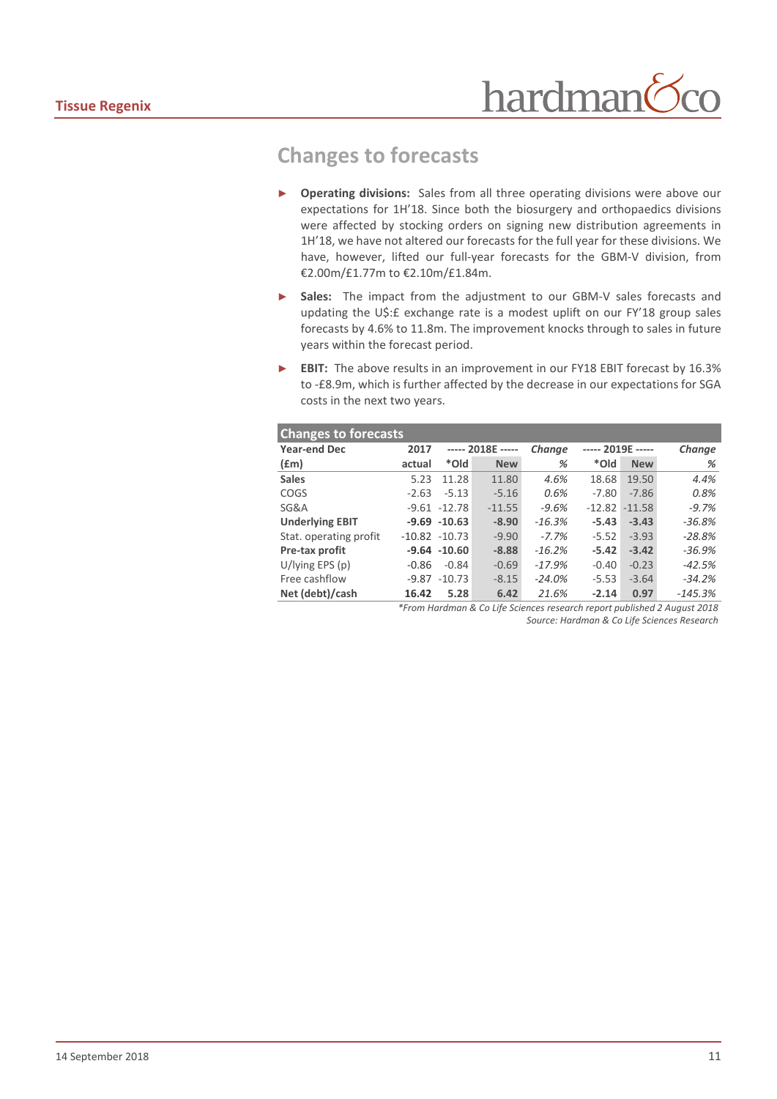## **Changes to forecasts**

- **Operating divisions:** Sales from all three operating divisions were above our expectations for 1H'18. Since both the biosurgery and orthopaedics divisions were affected by stocking orders on signing new distribution agreements in 1H'18, we have not altered our forecasts for the full year for these divisions. We have, however, lifted our full-year forecasts for the GBM-V division, from €2.00m/£1.77m to €2.10m/£1.84m.
- Sales: The impact from the adjustment to our GBM-V sales forecasts and updating the U\$:£ exchange rate is a modest uplift on our FY'18 group sales forecasts by 4.6% to 11.8m. The improvement knocks through to sales in future years within the forecast period.
- **EBIT:** The above results in an improvement in our FY18 EBIT forecast by 16.3% to -£8.9m, which is further affected by the decrease in our expectations for SGA costs in the next two years.

| <b>Changes to forecasts</b> |         |                   |            |          |                   |            |           |
|-----------------------------|---------|-------------------|------------|----------|-------------------|------------|-----------|
| <b>Year-end Dec</b>         | 2017    | ----- 2018E ----- |            | Change   | ----- 2019E ----- |            | Change    |
| $f$ (£m)                    | actual  | *Old              | <b>New</b> | %        | *Old              | <b>New</b> | %         |
| <b>Sales</b>                | 5.23    | 11.28             | 11.80      | 4.6%     | 18.68             | 19.50      | 4.4%      |
| COGS                        | $-2.63$ | $-5.13$           | $-5.16$    | 0.6%     | $-7.80$           | $-7.86$    | 0.8%      |
| SG&A                        |         | $-9.61 - 12.78$   | $-11.55$   | $-9.6%$  | $-12.82$          | $-11.58$   | $-9.7%$   |
| <b>Underlying EBIT</b>      |         | $-9.69 - 10.63$   | $-8.90$    | $-16.3%$ | $-5.43$           | $-3.43$    | $-36.8%$  |
| Stat. operating profit      |         | $-10.82 - 10.73$  | $-9.90$    | $-7.7%$  | $-5.52$           | $-3.93$    | $-28.8%$  |
| Pre-tax profit              |         | $-9.64 - 10.60$   | $-8.88$    | $-16.2%$ | $-5.42$           | $-3.42$    | $-36.9%$  |
| $U/$ lying EPS (p)          | $-0.86$ | $-0.84$           | $-0.69$    | $-17.9%$ | $-0.40$           | $-0.23$    | $-42.5%$  |
| Free cashflow               | $-9.87$ | $-10.73$          | $-8.15$    | $-24.0%$ | $-5.53$           | $-3.64$    | $-34.2%$  |
| Net (debt)/cash             | 16.42   | 5.28              | 6.42       | 21.6%    | $-2.14$           | 0.97       | $-145.3%$ |

*\*From Hardman & Co Life Sciences research report published 2 August 2018 Source: Hardman & Co Life Sciences Research*